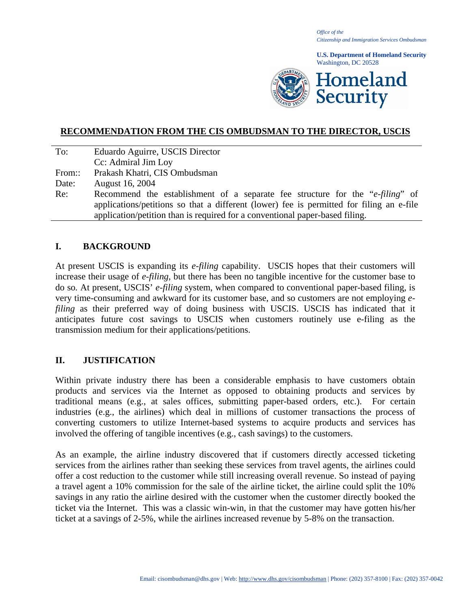*Office of the Citizenship and Immigration Services Ombudsman*

**U.S. Department of Homeland Security** Washington, DC 20528



### **RECOMMENDATION FROM THE CIS OMBUDSMAN TO THE DIRECTOR, USCIS**

| To:    | Eduardo Aguirre, USCIS Director                                                          |
|--------|------------------------------------------------------------------------------------------|
|        | Cc: Admiral Jim Loy                                                                      |
| From:: | Prakash Khatri, CIS Ombudsman                                                            |
| Date:  | August 16, 2004                                                                          |
| Re:    | Recommend the establishment of a separate fee structure for the " <i>e-filing</i> " of   |
|        | applications/petitions so that a different (lower) fee is permitted for filing an e-file |
|        | application/petition than is required for a conventional paper-based filing.             |

#### **I. BACKGROUND**

At present USCIS is expanding its *e-filing* capability. USCIS hopes that their customers will increase their usage of *e-filing*, but there has been no tangible incentive for the customer base to do so*.* At present, USCIS' *e-filing* system, when compared to conventional paper-based filing, is very time-consuming and awkward for its customer base, and so customers are not employing *efiling* as their preferred way of doing business with USCIS. USCIS has indicated that it anticipates future cost savings to USCIS when customers routinely use e-filing as the transmission medium for their applications/petitions.

### **II. JUSTIFICATION**

Within private industry there has been a considerable emphasis to have customers obtain products and services via the Internet as opposed to obtaining products and services by traditional means (e.g., at sales offices, submitting paper-based orders, etc.). For certain industries (e.g., the airlines) which deal in millions of customer transactions the process of converting customers to utilize Internet-based systems to acquire products and services has involved the offering of tangible incentives (e.g., cash savings) to the customers.

As an example, the airline industry discovered that if customers directly accessed ticketing services from the airlines rather than seeking these services from travel agents, the airlines could offer a cost reduction to the customer while still increasing overall revenue. So instead of paying a travel agent a 10% commission for the sale of the airline ticket, the airline could split the 10% savings in any ratio the airline desired with the customer when the customer directly booked the ticket via the Internet. This was a classic win-win, in that the customer may have gotten his/her ticket at a savings of 2-5%, while the airlines increased revenue by 5-8% on the transaction.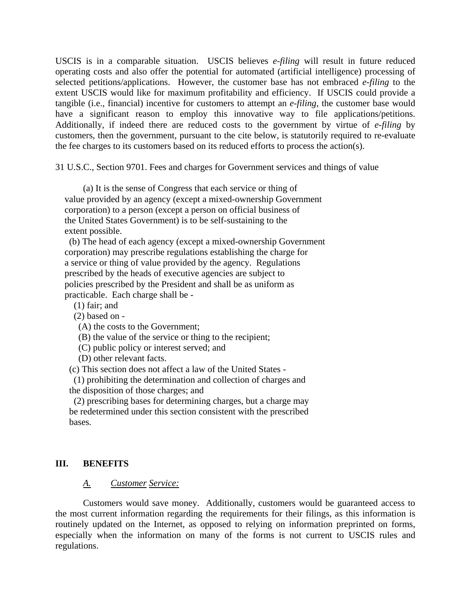USCIS is in a comparable situation. USCIS believes *e-filing* will result in future reduced operating costs and also offer the potential for automated (artificial intelligence) processing of selected petitions/applications. However, the customer base has not embraced *e-filing* to the extent USCIS would like for maximum profitability and efficiency. If USCIS could provide a tangible (i.e., financial) incentive for customers to attempt an *e-filing*, the customer base would have a significant reason to employ this innovative way to file applications/petitions. Additionally, if indeed there are reduced costs to the government by virtue of *e-filing* by customers, then the government, pursuant to the cite below, is statutorily required to re-evaluate the fee charges to its customers based on its reduced efforts to process the action(s).

31 U.S.C., Section 9701. Fees and charges for Government services and things of value

(a) It is the sense of Congress that each service or thing of value provided by an agency (except a mixed-ownership Government corporation) to a person (except a person on official business of the United States Government) is to be self-sustaining to the extent possible.

 (b) The head of each agency (except a mixed-ownership Government corporation) may prescribe regulations establishing the charge for a service or thing of value provided by the agency. Regulations prescribed by the heads of executive agencies are subject to policies prescribed by the President and shall be as uniform as practicable. Each charge shall be -

(1) fair; and

(2) based on -

(A) the costs to the Government;

(B) the value of the service or thing to the recipient;

(C) public policy or interest served; and

(D) other relevant facts.

(c) This section does not affect a law of the United States -

 (1) prohibiting the determination and collection of charges and the disposition of those charges; and

 (2) prescribing bases for determining charges, but a charge may be redetermined under this section consistent with the prescribed bases.

### **III. BENEFITS**

#### *A. Customer Service:*

 Customers would save money. Additionally, customers would be guaranteed access to the most current information regarding the requirements for their filings, as this information is routinely updated on the Internet, as opposed to relying on information preprinted on forms, especially when the information on many of the forms is not current to USCIS rules and regulations.